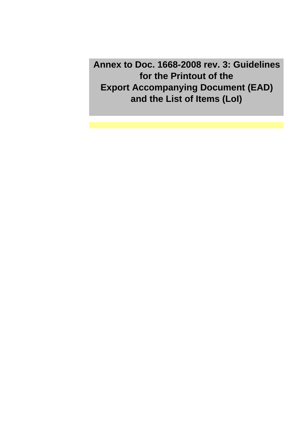**Annex to Doc. 1668-2008 rev. 3: Guidelines for the Printout of the Export Accompanying Document (EAD) and the List of Items (LoI)**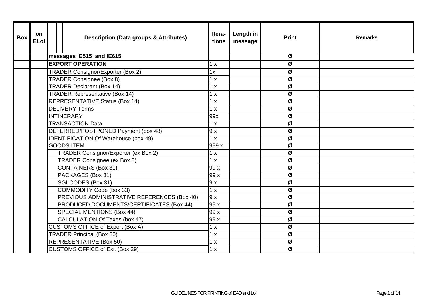| <b>Box</b> | <b>on</b><br><b>ELol</b> |  | <b>Description (Data groups &amp; Attributes)</b> | Itera-<br>tions | Length in<br>message | <b>Print</b> | <b>Remarks</b> |
|------------|--------------------------|--|---------------------------------------------------|-----------------|----------------------|--------------|----------------|
|            |                          |  | messages IE515 and IE615                          |                 |                      | Ø            |                |
|            |                          |  | <b>EXPORT OPERATION</b>                           | 1 x             |                      | Ø            |                |
|            |                          |  | <b>TRADER Consignor/Exporter (Box 2)</b>          | 1x              |                      | Ø            |                |
|            |                          |  | <b>TRADER Consignee (Box 8)</b>                   | 1 x             |                      | Ø            |                |
|            |                          |  | <b>TRADER Declarant (Box 14)</b>                  | 1 x             |                      | Ø            |                |
|            |                          |  | <b>TRADER Representative (Box 14)</b>             | 1 x             |                      | Ø            |                |
|            |                          |  | <b>REPRESENTATIVE Status (Box 14)</b>             | 1 x             |                      | Ø            |                |
|            |                          |  | <b>DELIVERY Terms</b>                             | 1 x             |                      | Ø            |                |
|            |                          |  | <b>INTINERARY</b>                                 | 99x             |                      | Ø            |                |
|            |                          |  | <b>TRANSACTION Data</b>                           | 1 x             |                      | Ø            |                |
|            |                          |  | DEFERRED/POSTPONED Payment (box 48)               | 9x              |                      | Ø            |                |
|            |                          |  | <b>IDENTIFICATION Of Warehouse (box 49)</b>       | 1 x             |                      | Ø            |                |
|            |                          |  | <b>GOODS ITEM</b>                                 | 999 x           |                      | Ø            |                |
|            |                          |  | TRADER Consignor/Exporter (ex Box 2)              | 1 x             |                      | Ø            |                |
|            |                          |  | TRADER Consignee (ex Box 8)                       | 1 x             |                      | Ø            |                |
|            |                          |  | <b>CONTAINERS (Box 31)</b>                        | 99 x            |                      | Ø            |                |
|            |                          |  | PACKAGES (Box 31)                                 | 99 x            |                      | Ø            |                |
|            |                          |  | SGI-CODES (Box 31)                                | 9x              |                      | Ø            |                |
|            |                          |  | COMMODITY Code (box 33)                           | 1 x             |                      | Ø            |                |
|            |                          |  | PREVIOUS ADMINISTRATIVE REFERENCES (Box 40)       | 9x              |                      | Ø            |                |
|            |                          |  | PRODUCED DOCUMENTS/CERTIFICATES (Box 44)          | 99 x            |                      | Ø            |                |
|            |                          |  | <b>SPECIAL MENTIONS (Box 44)</b>                  | 99x             |                      | Ø            |                |
|            |                          |  | CALCULATION Of Taxes (box 47)                     | 99 x            |                      | Ø            |                |
|            |                          |  | <b>CUSTOMS OFFICE of Export (Box A)</b>           | 1 x             |                      | Ø            |                |
|            |                          |  | <b>TRADER Principal (Box 50)</b>                  | 1 x             |                      | Ø            |                |
|            |                          |  | <b>REPRESENTATIVE (Box 50)</b>                    | 1 x             |                      | Ø            |                |
|            |                          |  | <b>CUSTOMS OFFICE of Exit (Box 29)</b>            | 1 x             |                      | Ø            |                |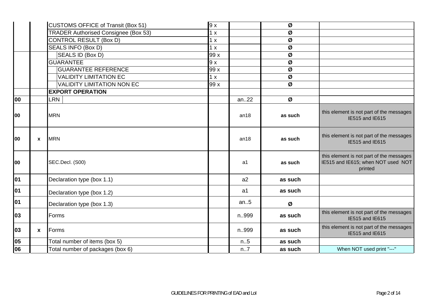|    |              | <b>CUSTOMS OFFICE of Transit (Box 51)</b>   | 9x   |                | Ø       |                                                                                           |
|----|--------------|---------------------------------------------|------|----------------|---------|-------------------------------------------------------------------------------------------|
|    |              | <b>TRADER Authorised Consignee (Box 53)</b> | 1 x  |                | Ø       |                                                                                           |
|    |              | CONTROL RESULT (Box D)                      | 1 x  |                | Ø       |                                                                                           |
|    |              | SEALS INFO (Box D)                          | 1 x  |                | Ø       |                                                                                           |
|    |              | SEALS ID (Box D)                            | 99 x |                | Ø       |                                                                                           |
|    |              | <b>GUARANTEE</b>                            | 9x   |                | Ø       |                                                                                           |
|    |              | <b>GUARANTEE REFERENCE</b>                  | 99 x |                | Ø       |                                                                                           |
|    |              | <b>VALIDITY LIMITATION EC</b>               | 1 x  |                | Ø       |                                                                                           |
|    |              | <b>VALIDITY LIMITATION NON EC</b>           | 99 x |                | Ø       |                                                                                           |
|    |              | <b>EXPORT OPERATION</b>                     |      |                |         |                                                                                           |
| 00 |              | LRN                                         |      | an22           | Ø       |                                                                                           |
| 00 |              | <b>MRN</b>                                  |      | an18           | as such | this element is not part of the messages<br>IE515 and IE615                               |
| 00 | $\mathbf{x}$ | <b>MRN</b>                                  |      | an18           | as such | this element is not part of the messages<br>IE515 and IE615                               |
| 00 |              | SEC.Decl. (S00)                             |      | a1             | as such | this element is not part of the messages<br>IE515 and IE615; when NOT used NOT<br>printed |
| 01 |              | Declaration type (box 1.1)                  |      | a2             | as such |                                                                                           |
| 01 |              | Declaration type (box 1.2)                  |      | a <sub>1</sub> | as such |                                                                                           |
| 01 |              | Declaration type (box 1.3)                  |      | an.5           | Ø       |                                                                                           |
| 03 |              | Forms                                       |      | n999           | as such | this element is not part of the messages<br>IE515 and IE615                               |
| 03 | $\mathbf{x}$ | Forms                                       |      | n999           | as such | this element is not part of the messages<br>IE515 and IE615                               |
| 05 |              | Total number of items (box 5)               |      | n.5            | as such |                                                                                           |
| 06 |              | Total number of packages (box 6)            |      | n.7            | as such | When NOT used print "---"                                                                 |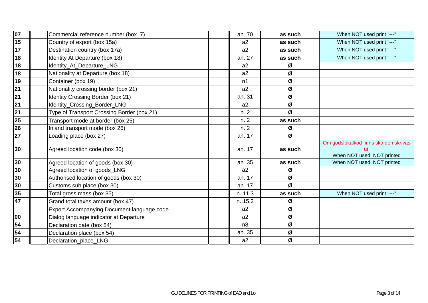| 07                       | Commercial reference number (box 7)        | an70   | as such | When NOT used print "---"                                                 |
|--------------------------|--------------------------------------------|--------|---------|---------------------------------------------------------------------------|
| 15                       | Country of export (box 15a)                | a2     | as such | When NOT used print "---"                                                 |
| $\overline{17}$          | Destination country (box 17a)              | a2     | as such | When NOT used print "---"                                                 |
| 18                       | Identity At Departure (box 18)             | an27   | as such | When NOT used print "---"                                                 |
| $\overline{18}$          | Identity_At_Departure_LNG                  | a2     | Ø       |                                                                           |
| 18                       | Nationality at Departure (box 18)          | a2     | Ø       |                                                                           |
| 19                       | Container (box 19)                         | n1     | Ø       |                                                                           |
| 21                       | Nationality crossing border (box 21)       | a2     | Ø       |                                                                           |
| $\overline{21}$          | Identity Crossing Border (box 21)          | an31   | Ø       |                                                                           |
| 21                       | Identity_Crossing_Border_LNG               | a2     | Ø       |                                                                           |
| $\overline{\mathbf{21}}$ | Type of Transport Crossing Border (box 21) | n.2    | Ø       |                                                                           |
| 25                       | Transport mode at border (box 25)          | n.2    | as such |                                                                           |
| 26                       | Inland transport mode (box 26)             | n.2    | Ø       |                                                                           |
| $\overline{27}$          | Loading place (box 27)                     | an17   | Ø       |                                                                           |
| 30                       | Agreed location code (box 30)              | an17   | as such | Om godslokalkod finns ska den skrivas<br>ut.<br>When NOT used NOT printed |
| 30                       | Agreed location of goods (box 30)          | an35   | as such | When NOT used NOT printed                                                 |
| 30                       | Agreed location of goods_LNG               | a2     | Ø       |                                                                           |
| 30                       | Authorised location of goods (box 30)      | an17   | Ø       |                                                                           |
| 30                       | Customs sub place (box 30)                 | an17   | Ø       |                                                                           |
| 35                       | Total gross mass (box 35)                  | n.11,3 | as such | When NOT used print "---"                                                 |
| 47                       | Grand total taxes amount (box 47)          | n.15,2 | Ø       |                                                                           |
|                          | Export Accompanying Document language code | a2     | Ø       |                                                                           |
| 00                       | Dialog language indicator at Departure     | a2     | Ø       |                                                                           |
| 54                       | Declaration date (box 54)                  | n8     | Ø       |                                                                           |
| 54                       | Declaration place (box 54)                 | an35   | Ø       |                                                                           |
| 54                       | Declaration_place_LNG                      | a2     | Ø       |                                                                           |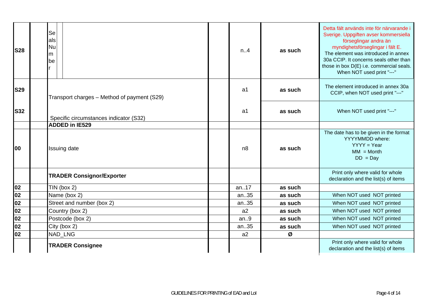| <b>S28</b> | <b>Se</b><br>als<br>Nu<br>lm.<br>lbe        | n.A            | as such | Detta fält används inte för närvarande i<br>Sverige. Uppgiften avser kommersiella<br>förseglingar andra än<br>myndighetsförseglingar i fält E.<br>The element was introduced in annex<br>30a CCIP. It concerns seals other than<br>those in box D(E) i.e. commercial seals.<br>When NOT used print "---" |
|------------|---------------------------------------------|----------------|---------|----------------------------------------------------------------------------------------------------------------------------------------------------------------------------------------------------------------------------------------------------------------------------------------------------------|
| <b>S29</b> | Transport charges - Method of payment (S29) | a <sub>1</sub> | as such | The element introduced in annex 30a<br>CCIP, when NOT used print "---"                                                                                                                                                                                                                                   |
| <b>S32</b> | Specific circumstances indicator (S32)      | a1             | as such | When NOT used print "---"                                                                                                                                                                                                                                                                                |
|            | <b>ADDED in IE529</b>                       |                |         |                                                                                                                                                                                                                                                                                                          |
| <b>00</b>  | <b>Issuing date</b>                         | n8             | as such | The date has to be given in the format<br>YYYYMMDD where:<br>$YYYY = Year$<br>$MM = Month$<br>$DD = Day$                                                                                                                                                                                                 |
|            | <b>TRADER Consignor/Exporter</b>            |                |         | Print only where valid for whole<br>declaration and the list(s) of items                                                                                                                                                                                                                                 |
| 02         | $TIN$ (box 2)                               | an17           | as such |                                                                                                                                                                                                                                                                                                          |
| 02         | Name (box 2)                                | an35           | as such | When NOT used NOT printed                                                                                                                                                                                                                                                                                |
| 02         | Street and number (box 2)                   | an35           | as such | When NOT used NOT printed                                                                                                                                                                                                                                                                                |
| 02         | Country (box 2)                             | a2             | as such | When NOT used NOT printed                                                                                                                                                                                                                                                                                |
| 02         | Postcode (box 2)                            | an.9           | as such | When NOT used NOT printed                                                                                                                                                                                                                                                                                |
| 02         | City (box 2)                                | an35           | as such | When NOT used NOT printed                                                                                                                                                                                                                                                                                |
| 02         | NAD_LNG                                     | a2             | Ø       |                                                                                                                                                                                                                                                                                                          |
|            | <b>TRADER Consignee</b>                     |                |         | Print only where valid for whole<br>declaration and the list(s) of items                                                                                                                                                                                                                                 |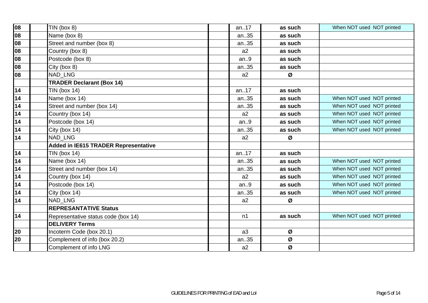| 08              | $TIN$ (box 8)                               | an17 | as such | When NOT used NOT printed |
|-----------------|---------------------------------------------|------|---------|---------------------------|
| 08              | Name (box 8)                                | an35 | as such |                           |
| 08              | Street and number (box 8)                   | an35 | as such |                           |
| 08              | Country (box 8)                             | a2   | as such |                           |
| 08              | Postcode (box 8)                            | an.9 | as such |                           |
| 108             | City (box 8)                                | an35 | as such |                           |
| 108             | NAD LNG                                     | a2   | Ø       |                           |
|                 | <b>TRADER Declarant (Box 14)</b>            |      |         |                           |
| 14              | TIN (box $14$ )                             | an17 | as such |                           |
| $\overline{14}$ | Name (box 14)                               | an35 | as such | When NOT used NOT printed |
| 14              | Street and number (box 14)                  | an35 | as such | When NOT used NOT printed |
| 14              | Country (box 14)                            | a2   | as such | When NOT used NOT printed |
| $\overline{14}$ | Postcode (box 14)                           | an.9 | as such | When NOT used NOT printed |
| 14              | City (box 14)                               | an35 | as such | When NOT used NOT printed |
| 14              | <b>NAD LNG</b>                              | a2   | Ø       |                           |
|                 | <b>Added in IE615 TRADER Representative</b> |      |         |                           |
| $\overline{14}$ | TIN (box $14$ )                             | an17 | as such |                           |
| $\overline{14}$ | Name (box 14)                               | an35 | as such | When NOT used NOT printed |
| $\overline{14}$ | Street and number (box 14)                  | an35 | as such | When NOT used NOT printed |
| 14              | Country (box 14)                            | a2   | as such | When NOT used NOT printed |
| $\overline{14}$ | Postcode (box 14)                           | an.9 | as such | When NOT used NOT printed |
| 14              | City (box 14)                               | an35 | as such | When NOT used NOT printed |
| 14              | NAD LNG                                     | a2   | Ø       |                           |
|                 | <b>REPRESANTATIVE Status</b>                |      |         |                           |
| 14              | Representative status code (box 14)         | n1   | as such | When NOT used NOT printed |
|                 | <b>DELIVERY Terms</b>                       |      |         |                           |
| 20              | Incoterm Code (box 20.1)                    | a3   | Ø       |                           |
| 20              | Complement of info (box 20.2)               | an35 | Ø       |                           |
|                 | Complement of info LNG                      | a2   | Ø       |                           |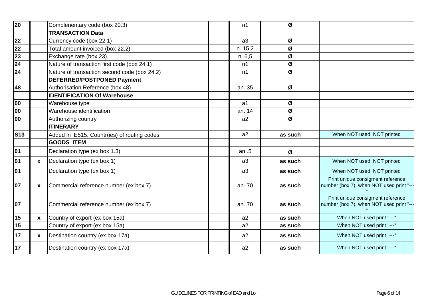| 20         |              | Complenentary code (box 20.3)                | n1             | Ø       |                                                                               |
|------------|--------------|----------------------------------------------|----------------|---------|-------------------------------------------------------------------------------|
|            |              | <b>TRANSACTION Data</b>                      |                |         |                                                                               |
| 22         |              | Currency code (box 22.1)                     | a3             | Ø       |                                                                               |
| 22         |              | Total amount invoiced (box 22.2)             | n.15,2         | Ø       |                                                                               |
| 23         |              | Exchange rate (box 23)                       | n.6,5          | Ø       |                                                                               |
| 24         |              | Nature of transaction first code (box 24.1)  | n1             | Ø       |                                                                               |
| 24         |              | Nature of transaction second code (box 24.2) | n1             | Ø       |                                                                               |
|            |              | <b>DEFERRED/POSTPONED Payment</b>            |                |         |                                                                               |
| 48         |              | Authorisation Reference (box 48)             | an35           | Ø       |                                                                               |
|            |              | <b>IDENTIFICATION Of Warehouse</b>           |                |         |                                                                               |
| 00         |              | Warehouse type                               | a <sub>1</sub> | Ø       |                                                                               |
| 00         |              | Warehouse identification                     | an14           | Ø       |                                                                               |
| 00         |              | Authorizing country                          | a2             | Ø       |                                                                               |
|            |              | <b>IITINERARY</b>                            |                |         |                                                                               |
| <b>S13</b> |              | Added in IE515. Countr(ies) of routing codes | a2             | as such | When NOT used NOT printed                                                     |
|            |              | <b>GOODS ITEM</b>                            |                |         |                                                                               |
| 01         |              | Declaration type (ex box 1.3)                | an.5           | Ø       |                                                                               |
| 01         | $\mathbf{x}$ | Declaration type (ex box 1)                  | a <sub>3</sub> | as such | When NOT used NOT printed                                                     |
| 01         |              | Declaration type (ex box 1)                  | a3             | as such | When NOT used NOT printed                                                     |
| 07         | X            | Commercial reference number (ex box 7)       | an70           | as such | Print unique consigment reference<br>number (box 7), when NOT used print "--- |
| 07         |              | Commercial reference number (ex box 7)       | an70           | as such | Print unique consigment reference<br>number (box 7), when NOT used print "--- |
| 15         | $\mathbf{x}$ | Country of export (ex box 15a)               | a2             | as such | When NOT used print "---"                                                     |
| 15         |              | Country of export (ex box 15a)               | a2             | as such | When NOT used print "---"                                                     |
| 17         | $\mathbf{x}$ | Destination country (ex box 17a)             | a2             | as such | When NOT used print "---"                                                     |
| 17         |              | Destination country (ex box 17a)             | a2             | as such | When NOT used print "---"                                                     |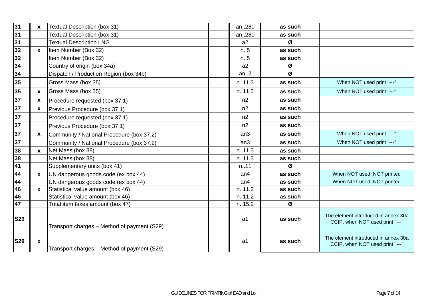| 31         | $\mathbf{x}$ | <b>Textual Description (box 31)</b>         | an280           | as such |                                                                        |
|------------|--------------|---------------------------------------------|-----------------|---------|------------------------------------------------------------------------|
| 31         |              | <b>Textual Description (box 31)</b>         | an280           | as such |                                                                        |
| 31         |              | <b>Textual Description LNG</b>              | a2              | Ø       |                                                                        |
| 32         | $\mathbf{x}$ | Item Number (Box 32)                        | n.5             | as such |                                                                        |
| 32         |              | Item Number (Box 32)                        | n.5             | as such |                                                                        |
| 34         |              | Country of origin (box 34a)                 | a2              | Ø       |                                                                        |
| 34         |              | Dispatch / Production Region (box 34b)      | an.2            | Ø       |                                                                        |
| 35         |              | Gross Mass (box 35)                         | n.11,3          | as such | When NOT used print "---"                                              |
| 35         | $\mathbf{x}$ | Gross Mass (box 35)                         | n.11,3          | as such | When NOT used print "---"                                              |
| 37         | X            | Procedure requested (box 37.1)              | n2              | as such |                                                                        |
| 37         | $\mathbf{x}$ | Previous Procedure (box 37.1)               | n2              | as such |                                                                        |
| 37         |              | Procedure requested (box 37.1)              | n2              | as such |                                                                        |
| 37         |              | Previous Procedure (box 37.1)               | n2              | as such |                                                                        |
| 37         | $\mathbf{x}$ | Community / National Procedure (box 37.2)   | an3             | as such | When NOT used print "---"                                              |
| 37         |              | Community / National Procedure (box 37.2)   | an3             | as such | When NOT used print "---"                                              |
| 38         | $\mathbf{x}$ | Net Mass (box 38)                           | n.11,3          | as such |                                                                        |
| 38         |              | Net Mass (box 38)                           | n.11,3          | as such |                                                                        |
| 41         |              | Supplementary units (box 41)                | n.11            | Ø       |                                                                        |
| 44         | $\mathbf{x}$ | UN dangerous goods code (ex box 44)         | an <sub>4</sub> | as such | When NOT used NOT printed                                              |
| 44         |              | UN dangerous goods code (ex box 44)         | an <sub>4</sub> | as such | When NOT used NOT printed                                              |
| 46         | $\mathbf{x}$ | Statistical value amount (box 46)           | n.11,2          | as such |                                                                        |
| 46         |              | Statistical value amount (box 46)           | n.11,2          | as such |                                                                        |
| 47         |              | Total item taxes amount (box 47)            | n.15,2          | Ø       |                                                                        |
| <b>S29</b> |              | Transport charges - Method of payment (S29) | a <sub>1</sub>  | as such | The element introduced in annex 30a<br>CCIP, when NOT used print "---" |
| <b>S29</b> | $\mathbf{x}$ | Transport charges – Method of payment (S29) | a1              | as such | The element introduced in annex 30a<br>CCIP, when NOT used print "---" |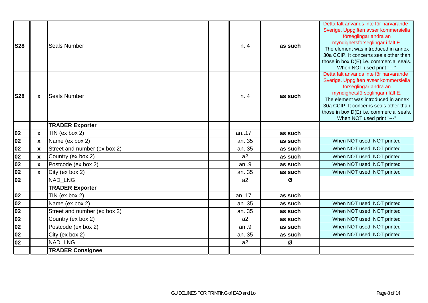| <b>S28</b> |              | <b>Seals Number</b>          | n.A   | as such | Detta fält används inte för närvarande i<br>Sverige. Uppgiften avser kommersiella<br>förseglingar andra än<br>myndighetsförseglingar i fält E.<br>The element was introduced in annex<br>30a CCIP. It concerns seals other than<br>those in box D(E) i.e. commercial seals.<br>When NOT used print "---" |
|------------|--------------|------------------------------|-------|---------|----------------------------------------------------------------------------------------------------------------------------------------------------------------------------------------------------------------------------------------------------------------------------------------------------------|
| <b>S28</b> | $\mathbf{x}$ | <b>Seals Number</b>          | n.A   | as such | Detta fält används inte för närvarande i<br>Sverige. Uppgiften avser kommersiella<br>förseglingar andra än<br>myndighetsförseglingar i fält E.<br>The element was introduced in annex<br>30a CCIP. It concerns seals other than<br>those in box D(E) i.e. commercial seals.<br>When NOT used print "---" |
|            |              | <b>TRADER Exporter</b>       |       |         |                                                                                                                                                                                                                                                                                                          |
| 02         | $\mathbf{x}$ | TIN (ex box 2)               | an17  | as such |                                                                                                                                                                                                                                                                                                          |
| 02         | $\mathbf{x}$ | Name (ex box 2)              | an35  | as such | When NOT used NOT printed                                                                                                                                                                                                                                                                                |
| 02         | $\mathbf{x}$ | Street and number (ex box 2) | an35  | as such | When NOT used NOT printed                                                                                                                                                                                                                                                                                |
| 02         | $\mathbf{x}$ | Country (ex box 2)           | a2    | as such | When NOT used NOT printed                                                                                                                                                                                                                                                                                |
| 02         | $\mathbf{x}$ | Postcode (ex box 2)          | an.9  | as such | When NOT used NOT printed                                                                                                                                                                                                                                                                                |
| 02         | $\mathbf{x}$ | City (ex box 2)              | an35  | as such | When NOT used NOT printed                                                                                                                                                                                                                                                                                |
| 02         |              | <b>NAD LNG</b>               | a2    | Ø       |                                                                                                                                                                                                                                                                                                          |
|            |              | <b>TRADER Exporter</b>       |       |         |                                                                                                                                                                                                                                                                                                          |
| 02         |              | TIN (ex box $2$ )            | an.17 | as such |                                                                                                                                                                                                                                                                                                          |
| 02         |              | Name (ex box 2)              | an35  | as such | When NOT used NOT printed                                                                                                                                                                                                                                                                                |
| 02         |              | Street and number (ex box 2) | an35  | as such | When NOT used NOT printed                                                                                                                                                                                                                                                                                |
| 02         |              | Country (ex box 2)           | a2    | as such | When NOT used NOT printed                                                                                                                                                                                                                                                                                |
| 02         |              | Postcode (ex box 2)          | an.9  | as such | When NOT used NOT printed                                                                                                                                                                                                                                                                                |
| 02         |              | City (ex box 2)              | an35  | as such | When NOT used NOT printed                                                                                                                                                                                                                                                                                |
| 02         |              | <b>NAD LNG</b>               | a2    | Ø       |                                                                                                                                                                                                                                                                                                          |
|            |              | <b>TRADER Consignee</b>      |       |         |                                                                                                                                                                                                                                                                                                          |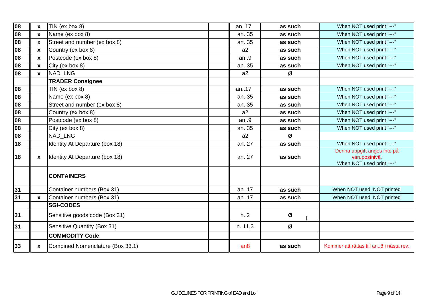| 08 | $\mathbf{x}$ | TIN (ex box 8)                   | an17   | as such | When NOT used print "---"                                                 |
|----|--------------|----------------------------------|--------|---------|---------------------------------------------------------------------------|
| 08 | $\mathbf{x}$ | Name (ex box 8)                  | an35   | as such | When NOT used print "---"                                                 |
| 08 | $\mathbf{x}$ | Street and number (ex box 8)     | an35   | as such | When NOT used print "---"                                                 |
| 08 | $\mathbf{x}$ | Country (ex box 8)               | a2     | as such | When NOT used print "---"                                                 |
| 08 | $\mathbf{x}$ | Postcode (ex box 8)              | an.9   | as such | When NOT used print "---"                                                 |
| 08 | X            | City (ex box 8)                  | an35   | as such | When NOT used print "---"                                                 |
| 08 | $\mathbf{x}$ | <b>NAD LNG</b>                   | a2     | Ø       |                                                                           |
|    |              | <b>TRADER Consignee</b>          |        |         |                                                                           |
| 80 |              | TIN (ex box 8)                   | an17   | as such | When NOT used print "---"                                                 |
| 08 |              | Name (ex box 8)                  | an35   | as such | When NOT used print "---"                                                 |
| 08 |              | Street and number (ex box 8)     | an35   | as such | When NOT used print "---"                                                 |
| 08 |              | Country (ex box 8)               | a2     | as such | When NOT used print "---"                                                 |
| 08 |              | Postcode (ex box 8)              | an.9   | as such | When NOT used print "---"                                                 |
| 08 |              | City (ex box 8)                  | an35   | as such | When NOT used print "---"                                                 |
| 80 |              | NAD LNG                          | a2     | Ø       |                                                                           |
| 18 |              | Identity At Departure (box 18)   | an27   | as such | When NOT used print "---"                                                 |
| 18 | X            | Identity At Departure (box 18)   | an27   | as such | Denna uppgift anges inte på<br>varupostnivå.<br>When NOT used print "---" |
|    |              | <b>CONTAINERS</b>                |        |         |                                                                           |
| 31 |              | Container numbers (Box 31)       | an17   | as such | When NOT used NOT printed                                                 |
| 31 | $\mathbf{x}$ | Container numbers (Box 31)       | an17   | as such | When NOT used NOT printed                                                 |
|    |              | <b>SGI-CODES</b>                 |        |         |                                                                           |
| 31 |              | Sensitive goods code (Box 31)    | n2     | Ø       |                                                                           |
| 31 |              | Sensitive Quantity (Box 31)      | n.11,3 | Ø       |                                                                           |
|    |              | <b>COMMODITY Code</b>            |        |         |                                                                           |
| 33 | <b>X</b>     | Combined Nomenclature (Box 33.1) | an8    | as such | Kommer att rättas till an8 i nästa rev.                                   |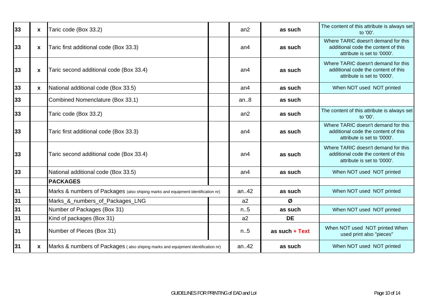| 33 | $\mathbf{x}$ | Taric code (Box 33.2)                                                            | an2             | as such          | The content of this attribute is always set<br>to '00'.                                                   |
|----|--------------|----------------------------------------------------------------------------------|-----------------|------------------|-----------------------------------------------------------------------------------------------------------|
| 33 | X            | Taric first additional code (Box 33.3)                                           | an <sub>4</sub> | as such          | Where TARIC doesn't demand for this<br>additional code the content of this<br>attribute is set to '0000'. |
| 33 | X            | Taric second additional code (Box 33.4)                                          | an <sub>4</sub> | as such          | Where TARIC doesn't demand for this<br>additional code the content of this<br>attribute is set to '0000'. |
| 33 | $\mathbf{x}$ | National additional code (Box 33.5)                                              | an <sub>4</sub> | as such          | When NOT used NOT printed                                                                                 |
| 33 |              | Combined Nomenclature (Box 33.1)                                                 | an.8            | as such          |                                                                                                           |
| 33 |              | Taric code (Box 33.2)                                                            | an2             | as such          | The content of this attribute is always set<br>to '00'.                                                   |
| 33 |              | Taric first additional code (Box 33.3)                                           | an <sub>4</sub> | as such          | Where TARIC doesn't demand for this<br>additional code the content of this<br>attribute is set to '0000'. |
| 33 |              | Taric second additional code (Box 33.4)                                          | an <sub>4</sub> | as such          | Where TARIC doesn't demand for this<br>additional code the content of this<br>attribute is set to '0000'. |
| 33 |              | National additional code (Box 33.5)                                              | an <sub>4</sub> | as such          | When NOT used NOT printed                                                                                 |
|    |              | <b>PACKAGES</b>                                                                  |                 |                  |                                                                                                           |
| 31 |              | Marks & numbers of Packages (also shiping marks and equipment identification nr) | an42            | as such          | When NOT used NOT printed                                                                                 |
| 31 |              | Marks_&_numbers_of_Packages_LNG                                                  | a2              | Ø                |                                                                                                           |
| 31 |              | Number of Packages (Box 31)                                                      | n.5             | as such          | When NOT used NOT printed                                                                                 |
| 31 |              | Kind of packages (Box 31)                                                        | a2              | <b>DE</b>        |                                                                                                           |
| 31 |              | Number of Pieces (Box 31)                                                        | n.5             | as such $+$ Text | When NOT used NOT printed When<br>used print also "pieces"                                                |
| 31 | <b>X</b>     | Marks & numbers of Packages (also shiping marks and equipment identification nr) | an.42           | as such          | When NOT used NOT printed                                                                                 |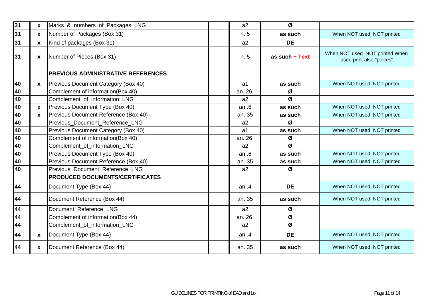| 31 | $\mathbf{x}$ | Marks_&_numbers_of_Packages_LNG           | a2             | Ø                |                                                            |
|----|--------------|-------------------------------------------|----------------|------------------|------------------------------------------------------------|
| 31 | <b>X</b>     | Number of Packages (Box 31)               | n.5            | as such          | When NOT used NOT printed                                  |
| 31 | $\mathbf{x}$ | Kind of packages (Box 31)                 | a2             | <b>DE</b>        |                                                            |
| 31 | X            | Number of Pieces (Box 31)                 | n.5            | as such $+$ Text | When NOT used NOT printed When<br>used print also "pieces" |
|    |              | <b>PREVIOUS ADMINISTRATIVE REFERENCES</b> |                |                  |                                                            |
| 40 | $\mathbf{x}$ | Previous Document Category (Box 40)       | a1             | as such          | When NOT used NOT printed                                  |
| 40 |              | Complement of information(Box 40)         | an.26          | Ø                |                                                            |
| 40 |              | Complement_of_information_LNG             | a2             | Ø                |                                                            |
| 40 | $\mathbf{x}$ | Previous Document Type (Box 40)           | an.6           | as such          | When NOT used NOT printed                                  |
| 40 | $\mathbf{x}$ | Previous Document Reference (Box 40)      | an35           | as such          | When NOT used NOT printed                                  |
| 40 |              | Previous_Document_Reference_LNG           | a2             | Ø                |                                                            |
| 40 |              | Previous Document Category (Box 40)       | a <sub>1</sub> | as such          | When NOT used NOT printed                                  |
| 40 |              | Complement of information(Box 40)         | an26           | Ø                |                                                            |
| 40 |              | Complement_of_information_LNG             | a2             | Ø                |                                                            |
| 40 |              | Previous Document Type (Box 40)           | an.6           | as such          | When NOT used NOT printed                                  |
| 40 |              | Previous Document Reference (Box 40)      | an35           | as such          | When NOT used NOT printed                                  |
| 40 |              | Previous_Document_Reference_LNG           | a2             | Ø                |                                                            |
|    |              | PRODUCED DOCUMENTS/CERTIFICATES           |                |                  |                                                            |
| 44 |              | Document Type (Box 44)                    | an.4           | <b>DE</b>        | When NOT used NOT printed                                  |
| 44 |              | Document Reference (Box 44)               | an35           | as such          | When NOT used NOT printed                                  |
| 44 |              | Document Reference LNG                    | a2             | Ø                |                                                            |
| 44 |              | Complement of information(Box 44)         | an26           | Ø                |                                                            |
| 44 |              | Complement_of_information_LNG             | a2             | Ø                |                                                            |
| 44 | $\mathbf{x}$ | Document Type (Box 44)                    | an.4           | <b>DE</b>        | When NOT used NOT printed                                  |
| 44 | <b>X</b>     | Document Reference (Box 44)               | an35           | as such          | When NOT used NOT printed                                  |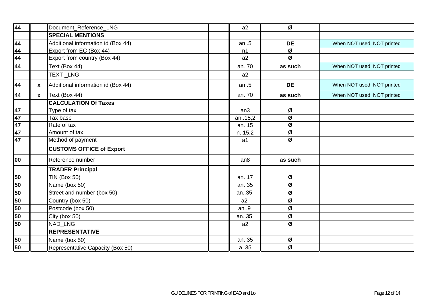| 44 |              | Document_Reference_LNG             | a2              | Ø         |                           |
|----|--------------|------------------------------------|-----------------|-----------|---------------------------|
|    |              | <b>SPECIAL MENTIONS</b>            |                 |           |                           |
| 44 |              | Additional information id (Box 44) | an.5            | <b>DE</b> | When NOT used NOT printed |
| 44 |              | Export from EC (Box 44)            | n1              | Ø         |                           |
| 44 |              | Export from country (Box 44)       | a2              | Ø         |                           |
| 44 |              | Text (Box 44)                      | an70            | as such   | When NOT used NOT printed |
|    |              | TEXT_LNG                           | a2              |           |                           |
| 44 | X            | Additional information id (Box 44) | an.5            | <b>DE</b> | When NOT used NOT printed |
| 44 | $\mathbf{x}$ | Text (Box 44)                      | an70            | as such   | When NOT used NOT printed |
|    |              | <b>CALCULATION Of Taxes</b>        |                 |           |                           |
| 47 |              | Type of tax                        | an <sub>3</sub> | Ø         |                           |
| 47 |              | Tax base                           | an15,2          | Ø         |                           |
| 47 |              | Rate of tax                        | an15            | Ø         |                           |
| 47 |              | Amount of tax                      | n.15,2          | Ø         |                           |
| 47 |              | Method of payment                  | a1              | Ø         |                           |
|    |              | <b>CUSTOMS OFFICE of Export</b>    |                 |           |                           |
| 00 |              | Reference number                   | an8             | as such   |                           |
|    |              | <b>TRADER Principal</b>            |                 |           |                           |
| 50 |              | <b>TIN (Box 50)</b>                | an17            | Ø         |                           |
| 50 |              | Name (box 50)                      | an35            | Ø         |                           |
| 50 |              | Street and number (box 50)         | an35            | Ø         |                           |
| 50 |              | Country (box 50)                   | a2              | Ø         |                           |
| 50 |              | Postcode (box 50)                  | an.9            | Ø         |                           |
| 50 |              | City (box 50)                      | an35            | Ø         |                           |
| 50 |              | <b>NAD LNG</b>                     | a2              | Ø         |                           |
|    |              | <b>REPRESENTATIVE</b>              |                 |           |                           |
| 50 |              | Name (box 50)                      | an35            | Ø         |                           |
| 50 |              | Representative Capacity (Box 50)   | a.35            | Ø         |                           |
|    |              |                                    |                 |           |                           |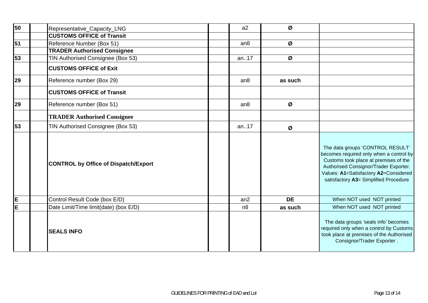| 50 | Representative_Capacity_LNG                 | a2              | Ø         |                                                                                                                                                                                                                                                 |
|----|---------------------------------------------|-----------------|-----------|-------------------------------------------------------------------------------------------------------------------------------------------------------------------------------------------------------------------------------------------------|
|    | <b>CUSTOMS OFFICE of Transit</b>            |                 |           |                                                                                                                                                                                                                                                 |
| 51 | Reference Number (Box 51)                   | an <sub>8</sub> | Ø         |                                                                                                                                                                                                                                                 |
|    | <b>TRADER Authorised Consignee</b>          |                 |           |                                                                                                                                                                                                                                                 |
| 53 | TIN Authorised Consignee (Box 53)           | an17            | Ø         |                                                                                                                                                                                                                                                 |
|    | <b>CUSTOMS OFFICE of Exit</b>               |                 |           |                                                                                                                                                                                                                                                 |
| 29 | Reference number (Box 29)                   | an8             | as such   |                                                                                                                                                                                                                                                 |
|    | <b>CUSTOMS OFFICE of Transit</b>            |                 |           |                                                                                                                                                                                                                                                 |
| 29 | Reference number (Box 51)                   | an <sub>8</sub> | Ø         |                                                                                                                                                                                                                                                 |
|    | <b>TRADER Authorised Consignee</b>          |                 |           |                                                                                                                                                                                                                                                 |
| 53 | TIN Authorised Consignee (Box 53)           | an17            | Ø         |                                                                                                                                                                                                                                                 |
|    | <b>CONTROL by Office of Dispatch/Export</b> |                 |           | The data groups 'CONTROL RESULT'<br>becomes required only when a control by<br>Customs took place at premises of the<br>Authorised Consignor/Trader Exporter.<br>Values: A1=Satisfactory A2=Considered<br>satisfactory A3= Simplified Procedure |
| E  | Control Result Code (box E/D)               | an2             | <b>DE</b> | When NOT used NOT printed                                                                                                                                                                                                                       |
| E  | Date Limit/Time limit(date) (box E/D)       | n8              | as such   | When NOT used NOT printed                                                                                                                                                                                                                       |
|    | <b>SEALS INFO</b>                           |                 |           | The data groups 'seals info' becomes<br>required only when a control by Customs<br>took place at premises of the Authorised<br>Consignor/Trader Exporter.                                                                                       |